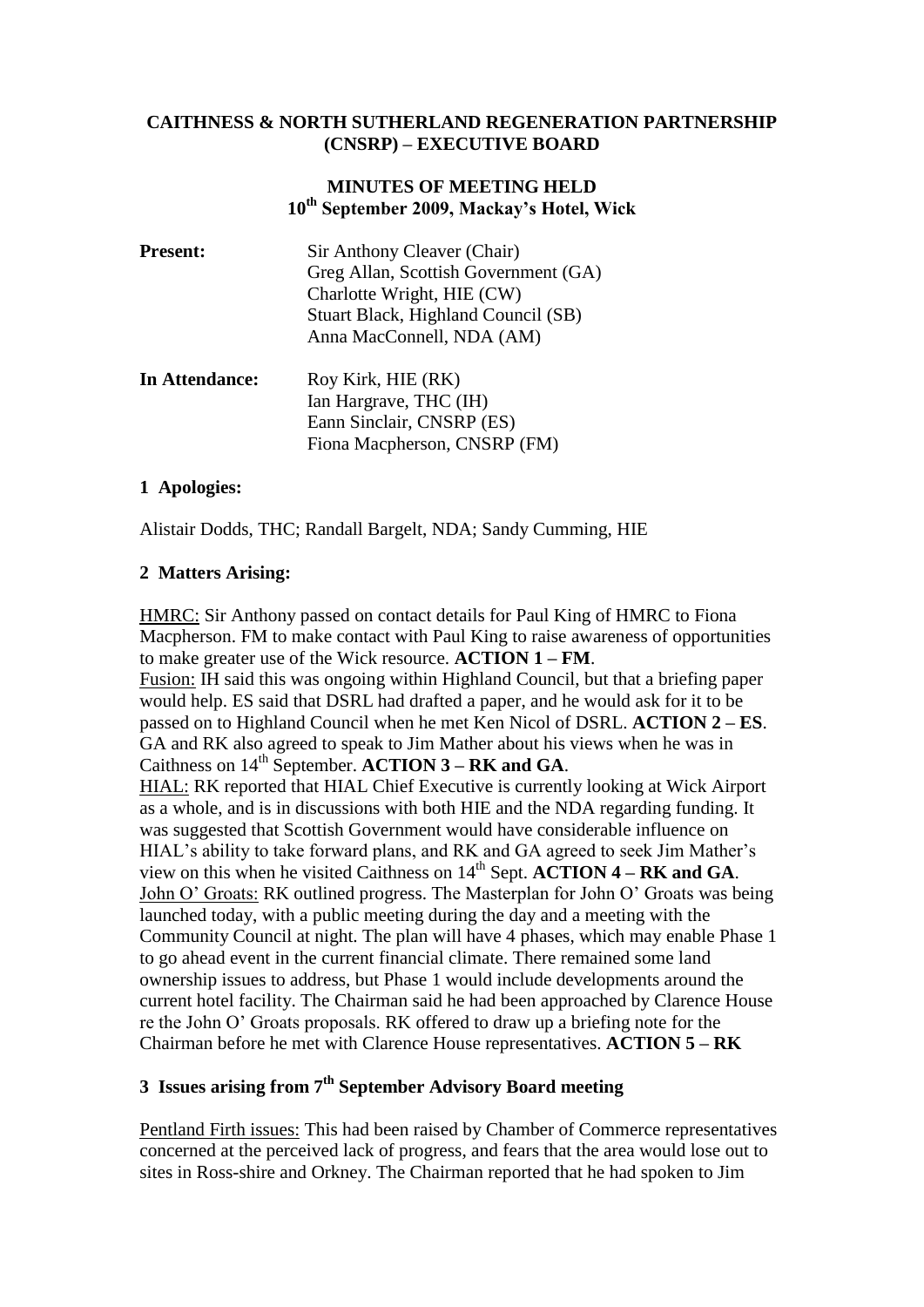### **CAITHNESS & NORTH SUTHERLAND REGENERATION PARTNERSHIP (CNSRP) – EXECUTIVE BOARD**

## **MINUTES OF MEETING HELD 10th September 2009, Mackay's Hotel, Wick**

| <b>Present:</b> | Sir Anthony Cleaver (Chair)<br>Greg Allan, Scottish Government (GA)<br>Charlotte Wright, HIE (CW)<br>Stuart Black, Highland Council (SB)<br>Anna MacConnell, NDA (AM) |
|-----------------|-----------------------------------------------------------------------------------------------------------------------------------------------------------------------|
| In Attendance:  | Roy Kirk, HIE (RK)<br>Ian Hargrave, THC (IH)<br>Eann Sinclair, CNSRP (ES)<br>Fiona Macpherson, CNSRP (FM)                                                             |

## **1 Apologies:**

Alistair Dodds, THC; Randall Bargelt, NDA; Sandy Cumming, HIE

## **2 Matters Arising:**

HMRC: Sir Anthony passed on contact details for Paul King of HMRC to Fiona Macpherson. FM to make contact with Paul King to raise awareness of opportunities to make greater use of the Wick resource. **ACTION 1 – FM**. Fusion: IH said this was ongoing within Highland Council, but that a briefing paper would help. ES said that DSRL had drafted a paper, and he would ask for it to be passed on to Highland Council when he met Ken Nicol of DSRL. **ACTION 2 – ES**. GA and RK also agreed to speak to Jim Mather about his views when he was in Caithness on 14<sup>th</sup> September. **ACTION 3 – RK and GA.** HIAL: RK reported that HIAL Chief Executive is currently looking at Wick Airport as a whole, and is in discussions with both HIE and the NDA regarding funding. It was suggested that Scottish Government would have considerable influence on HIAL's ability to take forward plans, and RK and GA agreed to seek Jim Mather's view on this when he visited Caithness on 14th Sept. **ACTION 4 – RK and GA**. John O' Groats: RK outlined progress. The Masterplan for John O' Groats was being launched today, with a public meeting during the day and a meeting with the Community Council at night. The plan will have 4 phases, which may enable Phase 1 to go ahead event in the current financial climate. There remained some land ownership issues to address, but Phase 1 would include developments around the current hotel facility. The Chairman said he had been approached by Clarence House re the John O' Groats proposals. RK offered to draw up a briefing note for the Chairman before he met with Clarence House representatives. **ACTION 5 – RK**

# **3 Issues arising from 7th September Advisory Board meeting**

Pentland Firth issues: This had been raised by Chamber of Commerce representatives concerned at the perceived lack of progress, and fears that the area would lose out to sites in Ross-shire and Orkney. The Chairman reported that he had spoken to Jim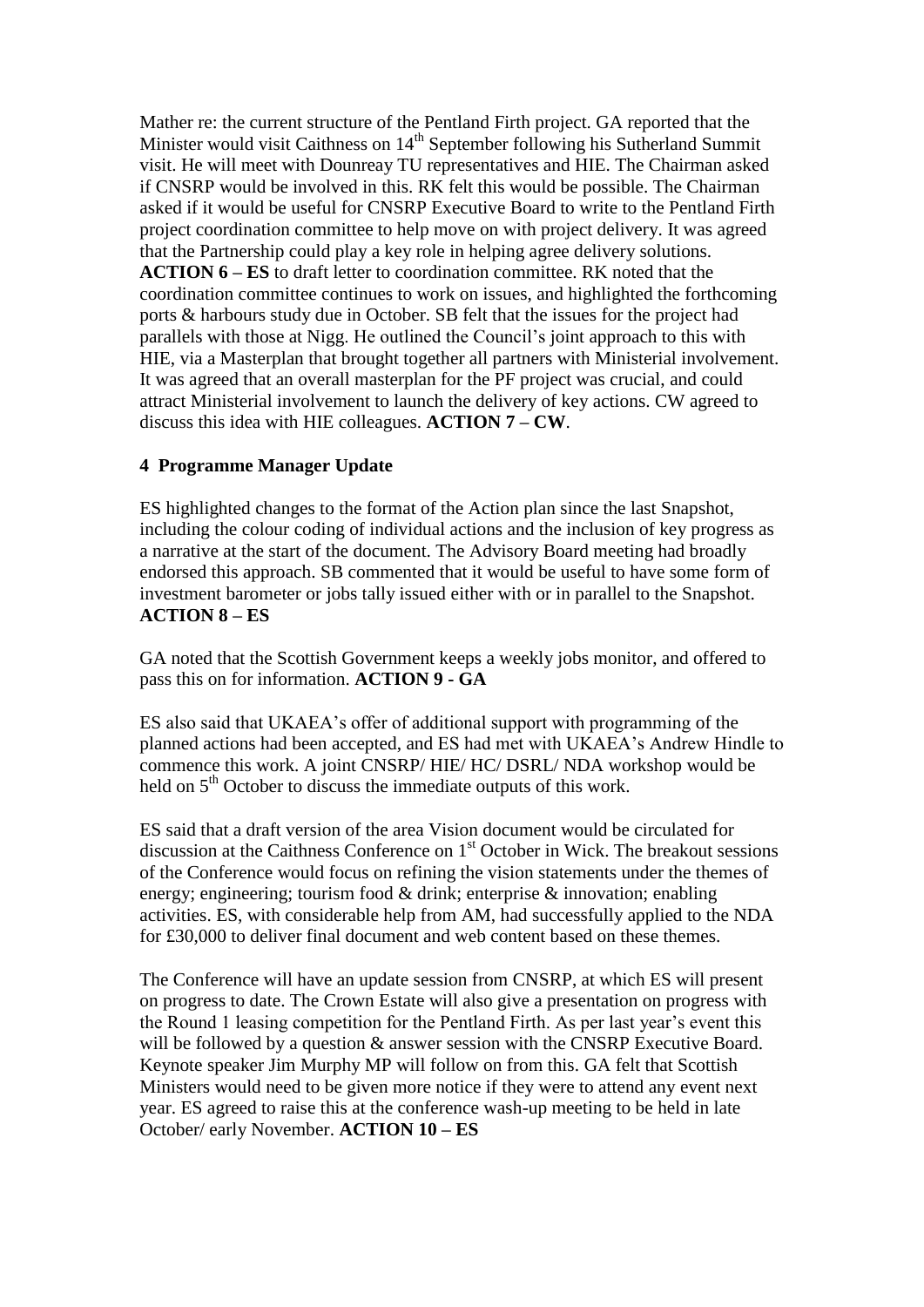Mather re: the current structure of the Pentland Firth project. GA reported that the Minister would visit Caithness on 14<sup>th</sup> September following his Sutherland Summit visit. He will meet with Dounreay TU representatives and HIE. The Chairman asked if CNSRP would be involved in this. RK felt this would be possible. The Chairman asked if it would be useful for CNSRP Executive Board to write to the Pentland Firth project coordination committee to help move on with project delivery. It was agreed that the Partnership could play a key role in helping agree delivery solutions. **ACTION 6 – ES** to draft letter to coordination committee. RK noted that the coordination committee continues to work on issues, and highlighted the forthcoming ports & harbours study due in October. SB felt that the issues for the project had parallels with those at Nigg. He outlined the Council's joint approach to this with HIE, via a Masterplan that brought together all partners with Ministerial involvement. It was agreed that an overall masterplan for the PF project was crucial, and could attract Ministerial involvement to launch the delivery of key actions. CW agreed to discuss this idea with HIE colleagues. **ACTION 7 – CW**.

## **4 Programme Manager Update**

ES highlighted changes to the format of the Action plan since the last Snapshot, including the colour coding of individual actions and the inclusion of key progress as a narrative at the start of the document. The Advisory Board meeting had broadly endorsed this approach. SB commented that it would be useful to have some form of investment barometer or jobs tally issued either with or in parallel to the Snapshot. **ACTION 8 – ES**

GA noted that the Scottish Government keeps a weekly jobs monitor, and offered to pass this on for information. **ACTION 9 - GA**

ES also said that UKAEA's offer of additional support with programming of the planned actions had been accepted, and ES had met with UKAEA's Andrew Hindle to commence this work. A joint CNSRP/ HIE/ HC/ DSRL/ NDA workshop would be held on 5<sup>th</sup> October to discuss the immediate outputs of this work.

ES said that a draft version of the area Vision document would be circulated for discussion at the Caithness Conference on  $1<sup>st</sup>$  October in Wick. The breakout sessions of the Conference would focus on refining the vision statements under the themes of energy; engineering; tourism food & drink; enterprise & innovation; enabling activities. ES, with considerable help from AM, had successfully applied to the NDA for £30,000 to deliver final document and web content based on these themes.

The Conference will have an update session from CNSRP, at which ES will present on progress to date. The Crown Estate will also give a presentation on progress with the Round 1 leasing competition for the Pentland Firth. As per last year's event this will be followed by a question  $\&$  answer session with the CNSRP Executive Board. Keynote speaker Jim Murphy MP will follow on from this. GA felt that Scottish Ministers would need to be given more notice if they were to attend any event next year. ES agreed to raise this at the conference wash-up meeting to be held in late October/ early November. **ACTION 10 – ES**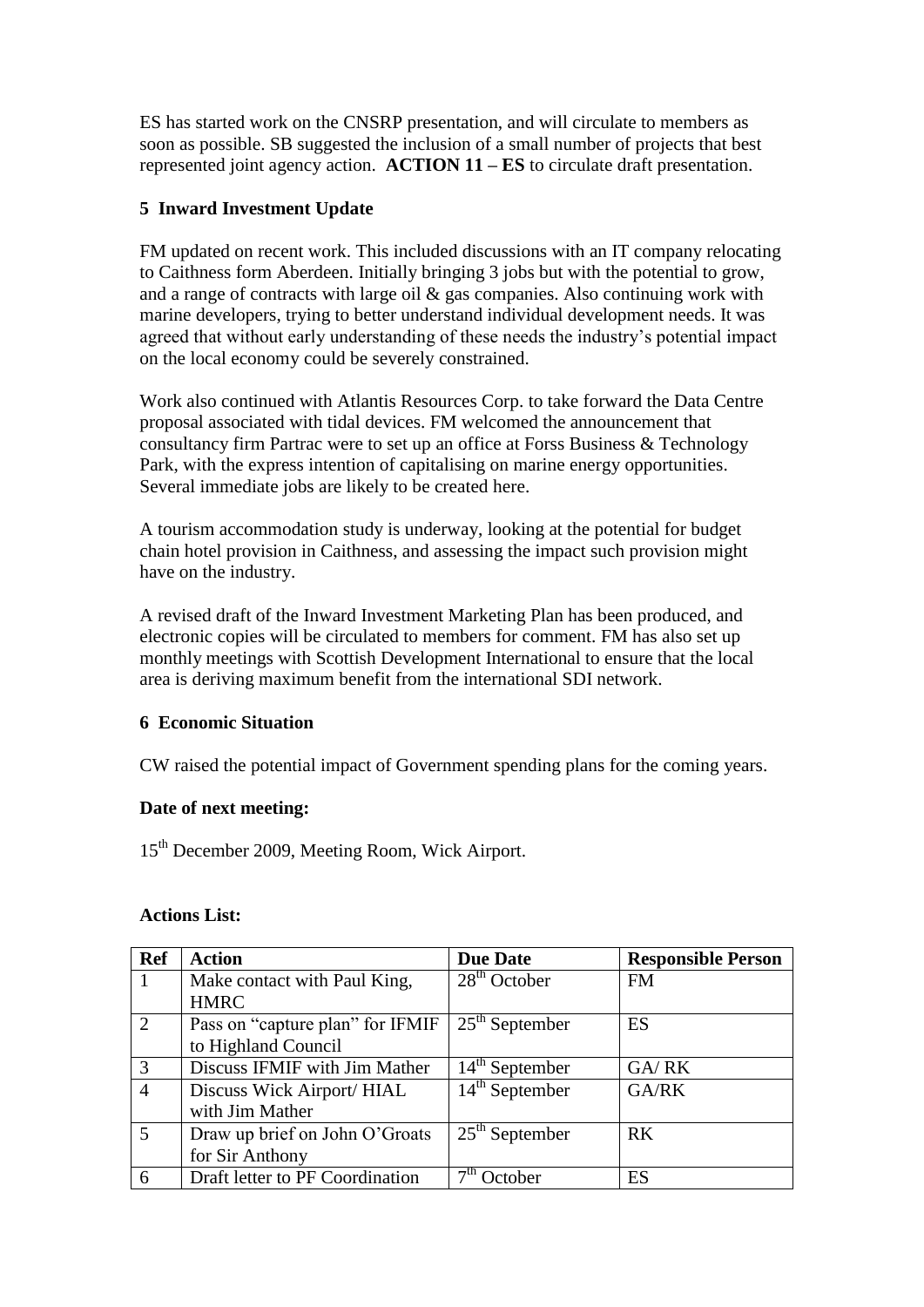ES has started work on the CNSRP presentation, and will circulate to members as soon as possible. SB suggested the inclusion of a small number of projects that best represented joint agency action. **ACTION 11 – ES** to circulate draft presentation.

## **5 Inward Investment Update**

FM updated on recent work. This included discussions with an IT company relocating to Caithness form Aberdeen. Initially bringing 3 jobs but with the potential to grow, and a range of contracts with large oil & gas companies. Also continuing work with marine developers, trying to better understand individual development needs. It was agreed that without early understanding of these needs the industry's potential impact on the local economy could be severely constrained.

Work also continued with Atlantis Resources Corp. to take forward the Data Centre proposal associated with tidal devices. FM welcomed the announcement that consultancy firm Partrac were to set up an office at Forss Business & Technology Park, with the express intention of capitalising on marine energy opportunities. Several immediate jobs are likely to be created here.

A tourism accommodation study is underway, looking at the potential for budget chain hotel provision in Caithness, and assessing the impact such provision might have on the industry.

A revised draft of the Inward Investment Marketing Plan has been produced, and electronic copies will be circulated to members for comment. FM has also set up monthly meetings with Scottish Development International to ensure that the local area is deriving maximum benefit from the international SDI network.

### **6 Economic Situation**

CW raised the potential impact of Government spending plans for the coming years.

### **Date of next meeting:**

15th December 2009, Meeting Room, Wick Airport.

| <b>Actions List:</b> |  |
|----------------------|--|
|----------------------|--|

| <b>Ref</b>     | <b>Action</b>                    | <b>Due Date</b>  | <b>Responsible Person</b> |
|----------------|----------------------------------|------------------|---------------------------|
|                | Make contact with Paul King,     | $28th$ October   | <b>FM</b>                 |
|                | <b>HMRC</b>                      |                  |                           |
| 2              | Pass on "capture plan" for IFMIF | $25th$ September | ES                        |
|                | to Highland Council              |                  |                           |
| 3              | Discuss IFMIF with Jim Mather    | $14th$ September | GA/RK                     |
| $\overline{4}$ | Discuss Wick Airport/HIAL        | $14th$ September | GA/RK                     |
|                | with Jim Mather                  |                  |                           |
| $\overline{5}$ | Draw up brief on John O'Groats   | $25th$ September | <b>RK</b>                 |
|                | for Sir Anthony                  |                  |                           |
| 6              | Draft letter to PF Coordination  | October          | ES                        |